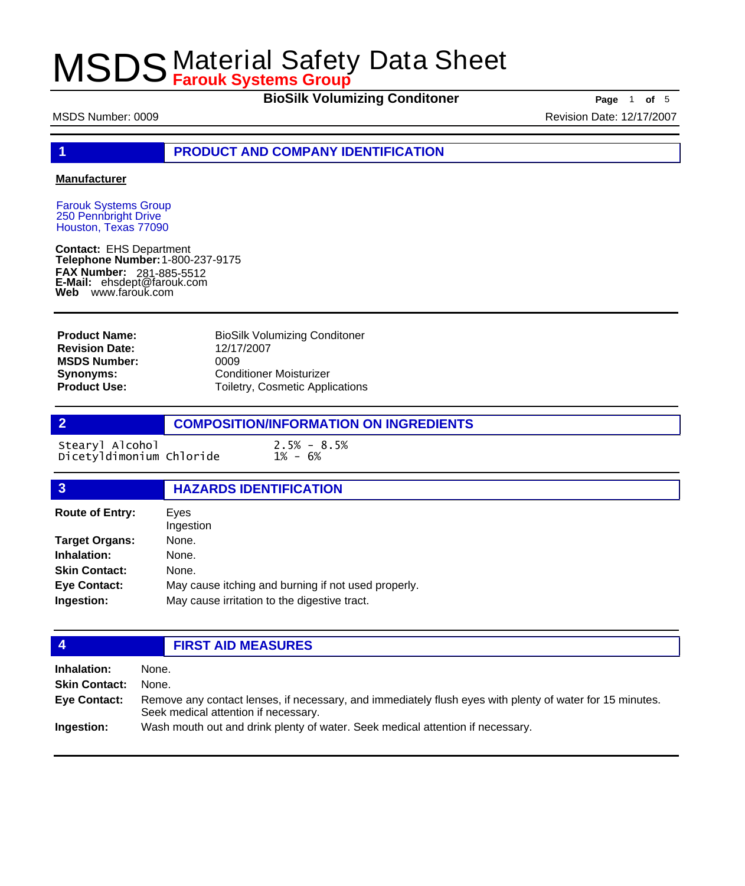**BioSilk Volumizing Conditoner Page** 1 of 5

MSDS Number: 0009 **Revision Date: 12/17/2007** Revision Date: 12/17/2007

**1 PRODUCT AND COMPANY IDENTIFICATION**

### **Manufacturer**

Farouk Systems Group 250 Pennbright Drive Houston, Texas 77090

**Contact:** EHS Department **Telephone Number:** 1-800-237-9175 **FAX Number: FAX Number:** 281-885-5512<br>**E-Mail:** ehsdept@farouk.com **Web** www.farouk.com

BioSilk Volumizing Conditoner 12/17/2007 0009 Conditioner Moisturizer Toiletry, Cosmetic Applications **Product Name: Revision Date: MSDS Number: Synonyms: Product Use:**

**2 COMPOSITION/INFORMATION ON INGREDIENTS**

Stearyl Alcohol 2.5% - 8.5% Dicetyldimonium Chloride 1% - 6%

## **3 HAZARDS IDENTIFICATION**

| Eves<br>Ingestion                                   |  |
|-----------------------------------------------------|--|
| None.                                               |  |
| None.                                               |  |
| None.                                               |  |
| May cause itching and burning if not used properly. |  |
| May cause irritation to the digestive tract.        |  |
|                                                     |  |

## **4 FIRST AID MEASURES**

| <b>Inhalation:</b>   | None.                                                                                                                                            |
|----------------------|--------------------------------------------------------------------------------------------------------------------------------------------------|
| <b>Skin Contact:</b> | None.                                                                                                                                            |
| Eye Contact:         | Remove any contact lenses, if necessary, and immediately flush eyes with plenty of water for 15 minutes.<br>Seek medical attention if necessary. |
| Ingestion:           | Wash mouth out and drink plenty of water. Seek medical attention if necessary.                                                                   |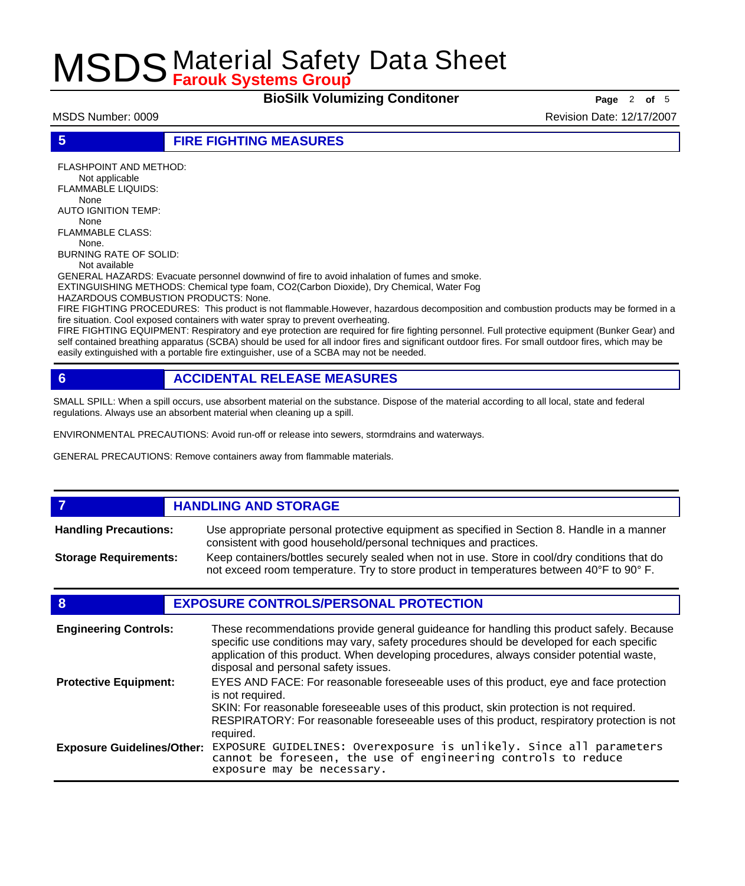**BioSilk Volumizing Conditoner Page** 2 of 5

MSDS Number: 0009 **Revision Date: 12/17/2007** Revision Date: 12/17/2007

**5 FIRE FIGHTING MEASURES**

FLASHPOINT AND METHOD: Not applicable FLAMMABLE LIQUIDS: None AUTO IGNITION TEMP: None FLAMMABLE CLASS: None.

BURNING RATE OF SOLID: Not available

GENERAL HAZARDS: Evacuate personnel downwind of fire to avoid inhalation of fumes and smoke. EXTINGUISHING METHODS: Chemical type foam, CO2(Carbon Dioxide), Dry Chemical, Water Fog

HAZARDOUS COMBUSTION PRODUCTS: None.

FIRE FIGHTING PROCEDURES: This product is not flammable.However, hazardous decomposition and combustion products may be formed in a fire situation. Cool exposed containers with water spray to prevent overheating.

FIRE FIGHTING EQUIPMENT: Respiratory and eye protection are required for fire fighting personnel. Full protective equipment (Bunker Gear) and self contained breathing apparatus (SCBA) should be used for all indoor fires and significant outdoor fires. For small outdoor fires, which may be easily extinguished with a portable fire extinguisher, use of a SCBA may not be needed.

## **6 ACCIDENTAL RELEASE MEASURES**

SMALL SPILL: When a spill occurs, use absorbent material on the substance. Dispose of the material according to all local, state and federal regulations. Always use an absorbent material when cleaning up a spill.

ENVIRONMENTAL PRECAUTIONS: Avoid run-off or release into sewers, stormdrains and waterways.

GENERAL PRECAUTIONS: Remove containers away from flammable materials.

### *HANDLING AND STORAGE* Use appropriate personal protective equipment as specified in Section 8. Handle in a manner consistent with good household/personal techniques and practices. **Handling Precautions:** Keep containers/bottles securely sealed when not in use. Store in cool/dry conditions that do not exceed room temperature. Try to store product in temperatures between 40°F to 90° F. **Storage Requirements:**

## **8 EXPOSURE CONTROLS/PERSONAL PROTECTION**

| <b>Engineering Controls:</b>      | These recommendations provide general guideance for handling this product safely. Because<br>specific use conditions may vary, safety procedures should be developed for each specific<br>application of this product. When developing procedures, always consider potential waste,<br>disposal and personal safety issues. |
|-----------------------------------|-----------------------------------------------------------------------------------------------------------------------------------------------------------------------------------------------------------------------------------------------------------------------------------------------------------------------------|
| <b>Protective Equipment:</b>      | EYES AND FACE: For reasonable foreseeable uses of this product, eye and face protection<br>is not required.<br>SKIN: For reasonable foreseeable uses of this product, skin protection is not required.<br>RESPIRATORY: For reasonable foreseeable uses of this product, respiratory protection is not<br>required.          |
| <b>Exposure Guidelines/Other:</b> | EXPOSURE GUIDELINES: Overexposure is unlikely. Since all parameters cannot be foreseen, the use of engineering controls to reduce<br>exposure may be necessary.                                                                                                                                                             |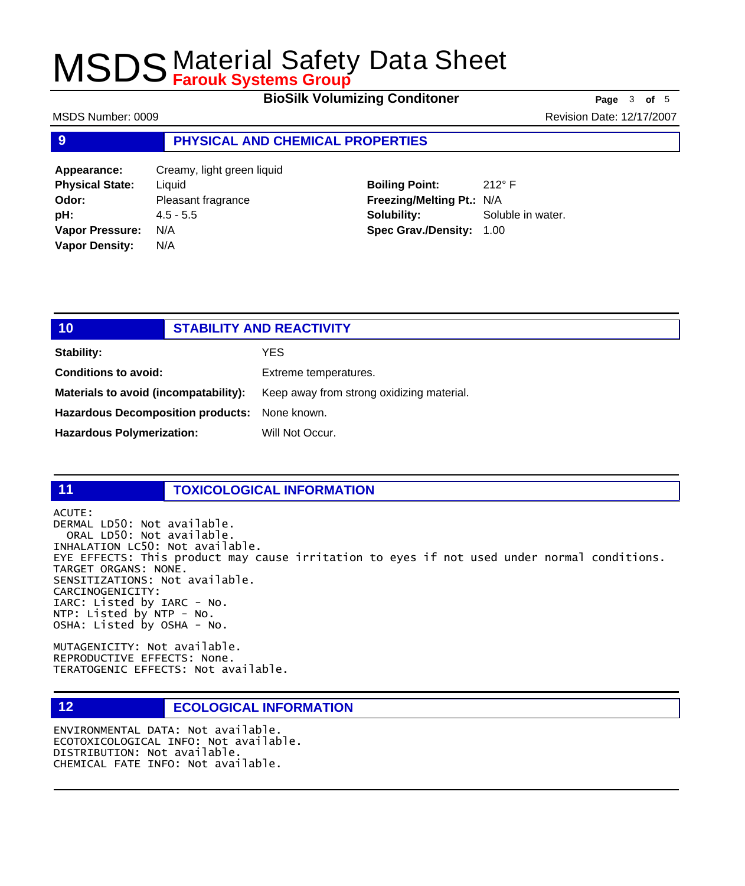**BioSilk Volumizing Conditoner Page** 3 of 5

MSDS Number: 0009 **Revision Date: 12/17/2007** Revision Date: 12/17/2007

### **9 PHYSICAL AND CHEMICAL PROPERTIES**

| Appearance:            | Creamy, light green liquid |
|------------------------|----------------------------|
| <b>Physical State:</b> | Liquid                     |
| Odor:                  | Pleasant fragrance         |
| pH:                    | $4.5 - 5.5$                |
| <b>Vapor Pressure:</b> | N/A                        |
| <b>Vapor Density:</b>  | N/A                        |
|                        |                            |

**Boiling Point:** 212° F **Freezing/Melting Pt.:** N/A **Solubility:** Soluble in water. **Spec Grav./Density:** 1.00

## **10 STABILITY AND REACTIVITY Stability:** YES **Conditions to avoid:** Extreme temperatures. Materials to avoid (incompatability): Keep away from strong oxidizing material. **Hazardous Decomposition products:** None known. Hazardous Polymerization: Will Not Occur.

### **11 TOXICOLOGICAL INFORMATION**

ACUTE:

DERMAL LD50: Not available. ORAL LD50: Not available. INHALATION LC50: Not available. EYE EFFECTS: This product may cause irritation to eyes if not used under normal conditions. TARGET ORGANS: NONE. SENSITIZATIONS: Not available. CARCINOGENICITY: IARC: Listed by IARC - No. NTP: Listed by NTP - No. OSHA: Listed by OSHA - No.

MUTAGENICITY: Not available. REPRODUCTIVE EFFECTS: None. TERATOGENIC EFFECTS: Not available.

## **12 ECOLOGICAL INFORMATION**

ENVIRONMENTAL DATA: Not available. ECOTOXICOLOGICAL INFO: Not available. DISTRIBUTION: Not available. CHEMICAL FATE INFO: Not available.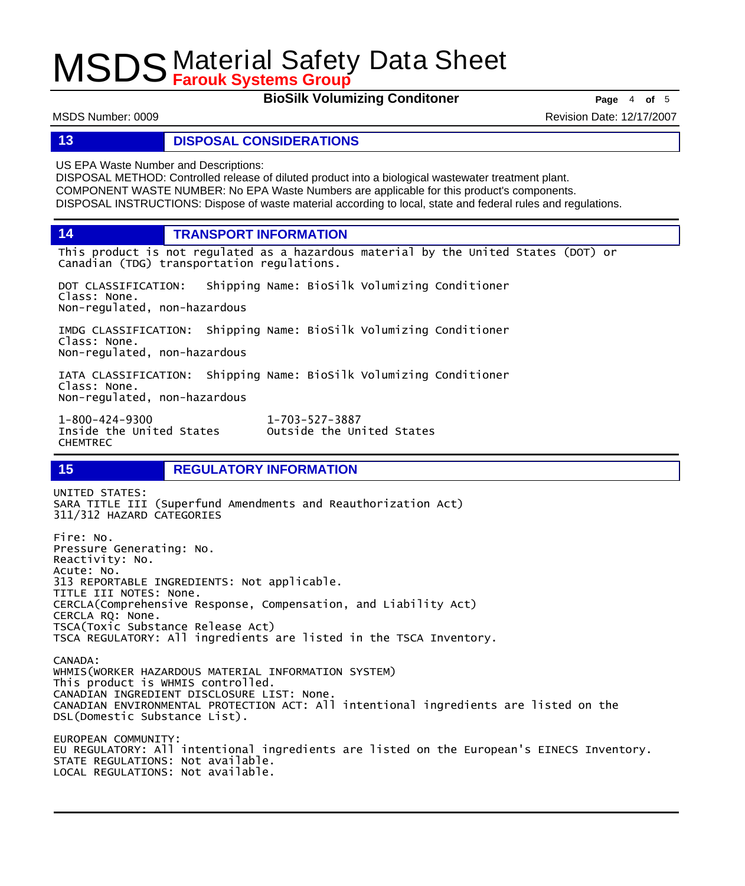**BioSilk Volumizing Conditoner Page** 4 of 5

MSDS Number: 0009 **Revision Date: 12/17/2007** Revision Date: 12/17/2007

### **13 DISPOSAL CONSIDERATIONS**

US EPA Waste Number and Descriptions:

DISPOSAL METHOD: Controlled release of diluted product into a biological wastewater treatment plant. COMPONENT WASTE NUMBER: No EPA Waste Numbers are applicable for this product's components. DISPOSAL INSTRUCTIONS: Dispose of waste material according to local, state and federal rules and regulations.

**14 TRANSPORT INFORMATION**

This product is not regulated as a hazardous material by the United States (DOT) or Canadian (TDG) transportation regulations.

Outside the United States

DOT CLASSIFICATION: Shipping Name: BioSilk Volumizing Conditioner Class: None. Non-regulated, non-hazardous

IMDG CLASSIFICATION: Shipping Name: BioSilk Volumizing Conditioner Class: None. Non-regulated, non-hazardous

IATA CLASSIFICATION: Shipping Name: BioSilk Volumizing Conditioner Class: None. Non-regulated, non-hazardous

1-800-424-9300 1-703-527-3887 CHEMTREC

## **15 REGULATORY INFORMATION**

UNITED STATES: SARA TITLE III (Superfund Amendments and Reauthorization Act) 311/312 HAZARD CATEGORIES Fire: No. Pressure Generating: No. Reactivity: No. Acute: No. 313 REPORTABLE INGREDIENTS: Not applicable. TITLE III NOTES: None. CERCLA(Comprehensive Response, Compensation, and Liability Act) CERCLA RQ: None. TSCA(Toxic Substance Release Act) TSCA REGULATORY: All ingredients are listed in the TSCA Inventory. CANADA: WHMIS(WORKER HAZARDOUS MATERIAL INFORMATION SYSTEM) This product is WHMIS controlled. CANADIAN INGREDIENT DISCLOSURE LIST: None. CANADIAN ENVIRONMENTAL PROTECTION ACT: All intentional ingredients are listed on the DSL(Domestic Substance List). EUROPEAN COMMUNITY: EU REGULATORY: All intentional ingredients are listed on the European's EINECS Inventory. STATE REGULATIONS: Not available. LOCAL REGULATIONS: Not available.